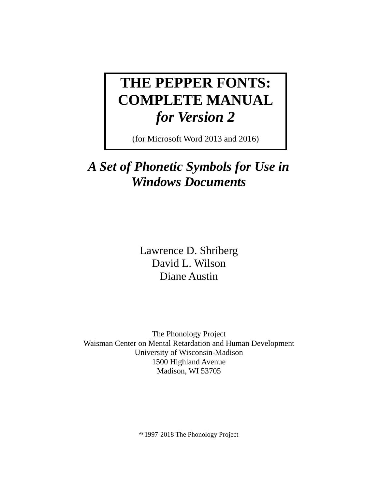# **THE PEPPER FONTS: COMPLETE MANUAL**  *for Version 2*

(for Microsoft Word 2013 and 2016)

## *A Set of Phonetic Symbols for Use in Windows Documents*

Lawrence D. Shriberg David L. Wilson Diane Austin

The Phonology Project Waisman Center on Mental Retardation and Human Development University of Wisconsin-Madison 1500 Highland Avenue Madison, WI 53705

8 1997-2018 The Phonology Project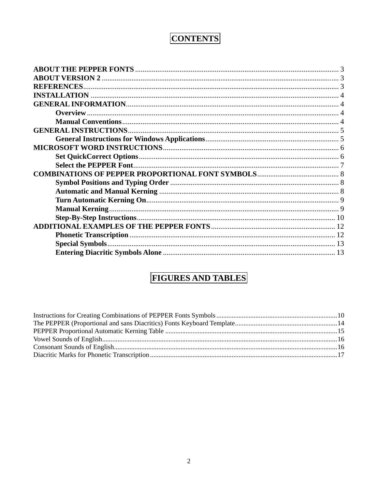## **CONTENTS**

## **FIGURES AND TABLES**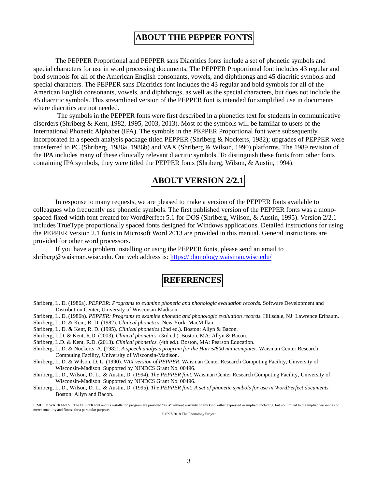### **ABOUT THE PEPPER FONTS**

The PEPPER Proportional and PEPPER sans Diacritics fonts include a set of phonetic symbols and special characters for use in word processing documents. The PEPPER Proportional font includes 43 regular and bold symbols for all of the American English consonants, vowels, and diphthongs and 45 diacritic symbols and special characters. The PEPPER sans Diacritics font includes the 43 regular and bold symbols for all of the American English consonants, vowels, and diphthongs, as well as the special characters, but does not include the 45 diacritic symbols. This streamlined version of the PEPPER font is intended for simplified use in documents where diacritics are not needed.

 The symbols in the PEPPER fonts were first described in a phonetics text for students in communicative disorders (Shriberg & Kent, 1982, 1995, 2003, 2013). Most of the symbols will be familiar to users of the International Phonetic Alphabet (IPA). The symbols in the PEPPER Proportional font were subsequently incorporated in a speech analysis package titled PEPPER (Shriberg & Nockerts, 1982); upgrades of PEPPER were transferred to PC (Shriberg, 1986a, 1986b) and VAX (Shriberg & Wilson, 1990) platforms. The 1989 revision of the IPA includes many of these clinically relevant diacritic symbols. To distinguish these fonts from other fonts containing IPA symbols, they were titled the PEPPER fonts (Shriberg, Wilson, & Austin, 1994).

### **ABOUT VERSION 2/2.1**

In response to many requests, we are pleased to make a version of the PEPPER fonts available to colleagues who frequently use phonetic symbols. The first published version of the PEPPER fonts was a monospaced fixed-width font created for WordPerfect 5.1 for DOS (Shriberg, Wilson, & Austin, 1995). Version 2/2.1 includes TrueType proportionally spaced fonts designed for Windows applications. Detailed instructions for using the PEPPER Version 2.1 fonts in Microsoft Word 2013 are provided in this manual. General instructions are provided for other word processors.

If you have a problem installing or using the PEPPER fonts, please send an email to shriberg@waisman.wisc.edu. Our web address is: https://phonology.waisman.wisc.edu/

### **REFERENCES**

- Shriberg, L. D. (1986a). *PEPPER: Programs to examine phonetic and phonologic evaluation records.* Software Development and Distribution Center, University of Wisconsin-Madison.
- Shriberg, L. D. (1986b). *PEPPER: Programs to examine phonetic and phonologic evaluation records.* Hillsdale, NJ: Lawrence Erlbaum.
- Shriberg, L. D. & Kent, R. D. (1982). *Clinical phonetics.* New York: MacMillan.
- Shriberg, L. D. & Kent, R. D. (1995). *Clinical phonetics* (2nd ed.). Boston: Allyn & Bacon.
- Shriberg, L.D. & Kent, R.D. (2003). *Clinical phonetics.* (3rd ed.). Boston, MA: Allyn & Bacon.
- Shriberg, L.D. & Kent, R.D. (2013). *Clinical phonetics.* (4th ed.). Boston, MA: Pearson Education.
- Shriberg, L. D. & Nockerts, A. (1982). *A speech analysis program for the Harris/800 minicomputer.* Waisman Center Research Computing Facility, University of Wisconsin-Madison.
- Shriberg, L. D. & Wilson, D. L. (1990). *VAX version of PEPPER.* Waisman Center Research Computing Facility, University of Wisconsin-Madison. Supported by NINDCS Grant No. 00496.
- Shriberg, L. D., Wilson, D. L., & Austin, D. (1994). *The PEPPER font.* Waisman Center Research Computing Facility, University of Wisconsin-Madison. Supported by NINDCS Grant No. 00496.
- Shriberg, L. D., Wilson, D. L., & Austin, D. (1995). *The PEPPER font: A set of phonetic symbols for use in WordPerfect documents.* Boston: Allyn and Bacon.

LIMITED WARRANTY: The PEPPER font and its installation program are provided "as is" without warranty of any kind, either expressed or implied, including, but not limited to the implied warranties of merchantability and fitness for a particular purpose.

8 1997-2018 The Phonology Project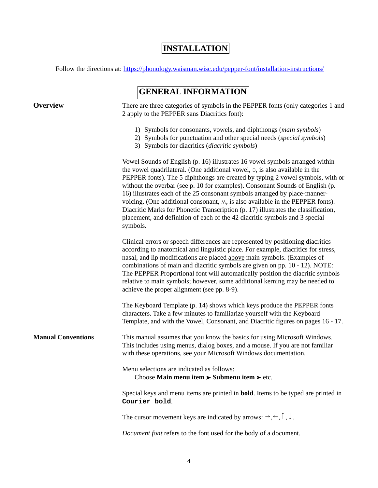### **INSTALLATION**

Follow the directions at: https://phonology.waisman.wisc.edu/pepper-font/installation-instructions/

### **GENERAL INFORMATION**

**Overview** There are three categories of symbols in the PEPPER fonts (only categories 1 and 2 apply to the PEPPER sans Diacritics font):

- 1) Symbols for consonants, vowels, and diphthongs (*main symbols*)
- 2) Symbols for punctuation and other special needs (*special symbols*)
- 3) Symbols for diacritics (*diacritic symbols*)

Vowel Sounds of English (p. 16) illustrates 16 vowel symbols arranged within the vowel quadrilateral. (One additional vowel,  $p$ , is also available in the PEPPER fonts). The 5 diphthongs are created by typing 2 vowel symbols, with or without the overbar (see p. 10 for examples). Consonant Sounds of English (p. 16) illustrates each of the 25 consonant symbols arranged by place-mannervoicing. (One additional consonant,  $M$ , is also available in the PEPPER fonts). Diacritic Marks for Phonetic Transcription (p. 17) illustrates the classification, placement, and definition of each of the 42 diacritic symbols and 3 special symbols.

Clinical errors or speech differences are represented by positioning diacritics according to anatomical and linguistic place. For example, diacritics for stress, nasal, and lip modifications are placed above main symbols. (Examples of combinations of main and diacritic symbols are given on pp. 10 - 12). NOTE: The PEPPER Proportional font will automatically position the diacritic symbols relative to main symbols; however, some additional kerning may be needed to achieve the proper alignment (see pp. 8-9).

The Keyboard Template (p. 14) shows which keys produce the PEPPER fonts characters. Take a few minutes to familiarize yourself with the Keyboard Template, and with the Vowel, Consonant, and Diacritic figures on pages 16 - 17.

**Manual Conventions** This manual assumes that you know the basics for using Microsoft Windows. This includes using menus, dialog boxes, and a mouse. If you are not familiar with these operations, see your Microsoft Windows documentation.

> Menu selections are indicated as follows: **Choose Main menu item > Submenu item** > etc.

Special keys and menu items are printed in **bold**. Items to be typed are printed in **Courier bold**.

The cursor movement keys are indicated by arrows:  $\rightarrow, \leftarrow, \uparrow, \downarrow$ .

*Document font* refers to the font used for the body of a document.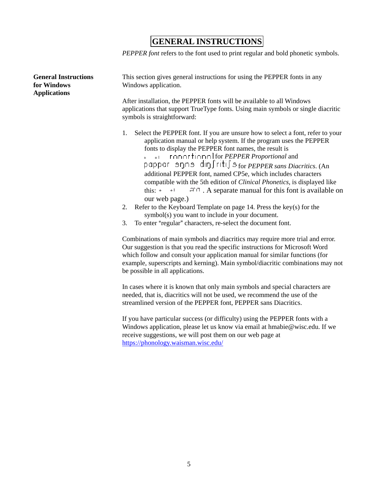### **GENERAL INSTRUCTIONS**

*PEPPER font* refers to the font used to print regular and bold phonetic symbols.

| <b>General Instructions</b><br>for Windows<br><b>Applications</b> | This section gives general instructions for using the PEPPER fonts in any<br>Windows application.                                                                                                                                                                                                                                                                                                                                                                                                                                                                                                                                                                                                                                                                                    |  |  |  |  |  |  |
|-------------------------------------------------------------------|--------------------------------------------------------------------------------------------------------------------------------------------------------------------------------------------------------------------------------------------------------------------------------------------------------------------------------------------------------------------------------------------------------------------------------------------------------------------------------------------------------------------------------------------------------------------------------------------------------------------------------------------------------------------------------------------------------------------------------------------------------------------------------------|--|--|--|--|--|--|
|                                                                   | After installation, the PEPPER fonts will be available to all Windows<br>applications that support TrueType fonts. Using main symbols or single diacritic<br>symbols is straightforward:                                                                                                                                                                                                                                                                                                                                                                                                                                                                                                                                                                                             |  |  |  |  |  |  |
|                                                                   | Select the PEPPER font. If you are unsure how to select a font, refer to your<br>1.<br>application manual or help system. If the program uses the PEPPER<br>fonts to display the PEPPER font names, the result is<br>+ + ronortionn for <i>PEPPER Proportional</i> and<br>pappar snns din∫riti∫sfor PEPPER sans Diacritics. (An<br>additional PEPPER font, named CP5e, which includes characters<br>compatible with the 5th edition of Clinical Phonetics, is displayed like<br>this: $+$ $+$ $ \pi$ $\cap$ . A separate manual for this font is available on<br>our web page.)<br>Refer to the Keyboard Template on page 14. Press the key(s) for the<br>2.<br>symbol(s) you want to include in your document.<br>To enter "regular" characters, re-select the document font.<br>3. |  |  |  |  |  |  |
|                                                                   | Combinations of main symbols and diacritics may require more trial and error.<br>Our suggestion is that you read the specific instructions for Microsoft Word<br>which follow and consult your application manual for similar functions (for<br>example, superscripts and kerning). Main symbol/diacritic combinations may not<br>be possible in all applications.                                                                                                                                                                                                                                                                                                                                                                                                                   |  |  |  |  |  |  |
|                                                                   | In cases where it is known that only main symbols and special characters are                                                                                                                                                                                                                                                                                                                                                                                                                                                                                                                                                                                                                                                                                                         |  |  |  |  |  |  |

In cases where it is known that only main symbols and special characters are needed, that is, diacritics will not be used, we recommend the use of the streamlined version of the PEPPER font, PEPPER sans Diacritics.

If you have particular success (or difficulty) using the PEPPER fonts with a Windows application, please let us know via email at hmabie@wisc.edu. If we receive suggestions, we will post them on our web page at https://phonology.waisman.wisc.edu/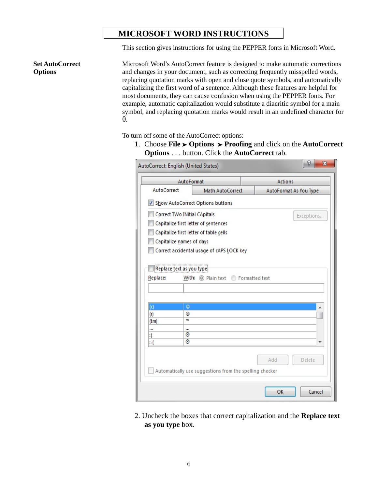### **MICROSOFT WORD INSTRUCTIONS**

This section gives instructions for using the PEPPER fonts in Microsoft Word.

**Set AutoCorrect Options**

Microsoft Word's AutoCorrect feature is designed to make automatic corrections and changes in your document, such as correcting frequently misspelled words, replacing quotation marks with open and close quote symbols, and automatically capitalizing the first word of a sentence. Although these features are helpful for most documents, they can cause confusion when using the PEPPER fonts. For example, automatic capitalization would substitute a diacritic symbol for a main symbol, and replacing quotation marks would result in an undefined character for **'**.

To turn off some of the AutoCorrect options:

1. Choose **File** ' **Options** ' **Proofing** and click on the **AutoCorrect Options** . . . button. Click the **AutoCorrect** tab.

|                    | AutoFormat                   |                                                         | Actions                |  |  |
|--------------------|------------------------------|---------------------------------------------------------|------------------------|--|--|
| <b>AutoCorrect</b> |                              | Math AutoCorrect                                        | AutoFormat As You Type |  |  |
|                    |                              | V Show AutoCorrect Options buttons                      |                        |  |  |
|                    | Correct TWo INitial CApitals |                                                         | Exceptions             |  |  |
|                    |                              | Capitalize first letter of sentences                    |                        |  |  |
|                    |                              | Capitalize first letter of table cells                  |                        |  |  |
|                    | Capitalize names of days     |                                                         |                        |  |  |
|                    |                              | Correct accidental usage of cAPS LOCK key               |                        |  |  |
|                    |                              |                                                         |                        |  |  |
|                    | Replace text as you type     |                                                         |                        |  |  |
|                    |                              |                                                         |                        |  |  |
| Replace:           |                              | With: (a) Plain text P Formatted text                   |                        |  |  |
|                    |                              |                                                         |                        |  |  |
|                    |                              |                                                         |                        |  |  |
|                    | O                            |                                                         | ▲                      |  |  |
| $\overline{c}$     | ®                            |                                                         |                        |  |  |
| (r)                |                              |                                                         |                        |  |  |
| (tm)               | TM                           |                                                         |                        |  |  |
| $\cdots$           |                              |                                                         |                        |  |  |
| ፡(                 | 0                            |                                                         |                        |  |  |
| н.                 | ₿                            |                                                         |                        |  |  |
|                    |                              |                                                         |                        |  |  |
|                    |                              |                                                         | Delete<br>Add          |  |  |
|                    |                              | Automatically use suggestions from the spelling checker |                        |  |  |

2. Uncheck the boxes that correct capitalization and the **Replace text as you type** box.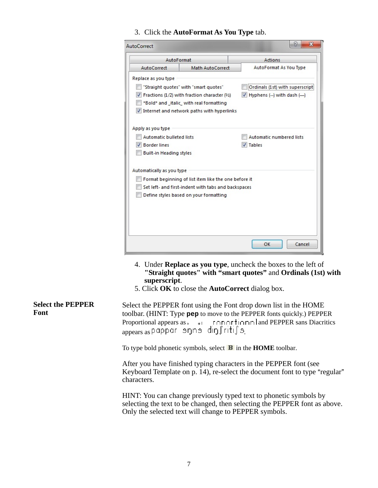3. Click the **AutoFormat As You Type** tab.

| AutoFormat                                             |                                                      | Actions                                   |  |  |
|--------------------------------------------------------|------------------------------------------------------|-------------------------------------------|--|--|
| AutoCorrect                                            | Math AutoCorrect                                     | AutoFormat As You Type                    |  |  |
| Replace as you type                                    |                                                      |                                           |  |  |
|                                                        | "Straight quotes" with "smart quotes"                | Ordinals (1st) with superscript           |  |  |
|                                                        | Fractions (1/2) with fraction character (1/2)        | V Hyphens (--) with dash (--)             |  |  |
|                                                        | *Bold* and italic with real formatting               |                                           |  |  |
|                                                        | Internet and network paths with hyperlinks           |                                           |  |  |
|                                                        |                                                      |                                           |  |  |
| Apply as you type                                      |                                                      |                                           |  |  |
| <b>Automatic bulleted lists</b><br><b>Border lines</b> |                                                      | Automatic numbered lists<br><b>Tables</b> |  |  |
| <b>Built-in Heading styles</b>                         |                                                      |                                           |  |  |
|                                                        |                                                      |                                           |  |  |
| Automatically as you type                              |                                                      |                                           |  |  |
|                                                        | Format beginning of list item like the one before it |                                           |  |  |
|                                                        | Set left- and first-indent with tabs and backspaces  |                                           |  |  |
|                                                        | Define styles based on your formatting               |                                           |  |  |
|                                                        |                                                      |                                           |  |  |
|                                                        |                                                      |                                           |  |  |
|                                                        |                                                      |                                           |  |  |
|                                                        |                                                      |                                           |  |  |
|                                                        |                                                      | Cancel<br>OK                              |  |  |
|                                                        |                                                      |                                           |  |  |

- 4. Under **Replace as you type**, uncheck the boxes to the left of **"Straight quotes" with "smart quotes"** and **Ordinals (1st) with superscript**.
- 5. Click **OK** to close the **AutoCorrect** dialog box.

**Select the PEPPER Font** Select the PEPPER font using the Font drop down list in the HOME toolbar. (HINT: Type **pep** to move to the PEPPER fonts quickly.) PEPPER Proportional appears as  $\longrightarrow$   $\Gamma$   $\cap$  $\cap$  $\Gamma$  $\uparrow$  $\cap$  $\cap$  $\Gamma$  $\downarrow$  $\cap$  $\cap$  $\Gamma$  $\downarrow$  $\cap$  $\cap$  $\Gamma$  $\downarrow$  $\cap$  $\cap$  $\Gamma$  $\downarrow$  $\parallel$  and PEPPER sans Diacritics appears as pappar snns din fritifs.

To type bold phonetic symbols, select  $\mathbf{F}$  in the **HOME** toolbar.

After you have finished typing characters in the PEPPER font (see Keyboard Template on p. 14), re-select the document font to type "regular" characters.

HINT: You can change previously typed text to phonetic symbols by selecting the text to be changed, then selecting the PEPPER font as above. Only the selected text will change to PEPPER symbols.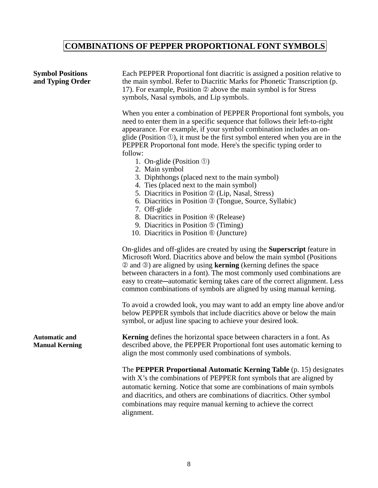## **COMBINATIONS OF PEPPER PROPORTIONAL FONT SYMBOLS**

| <b>Symbol Positions</b><br>and Typing Order   | Each PEPPER Proportional font diacritic is assigned a position relative to<br>the main symbol. Refer to Diacritic Marks for Phonetic Transcription (p.<br>17). For example, Position 2 above the main symbol is for Stress<br>symbols, Nasal symbols, and Lip symbols.<br>When you enter a combination of PEPPER Proportional font symbols, you<br>need to enter them in a specific sequence that follows their left-to-right<br>appearance. For example, if your symbol combination includes an on-<br>glide (Position $\mathcal{D}$ ), it must be the first symbol entered when you are in the<br>PEPPER Proportonal font mode. Here's the specific typing order to<br>follow:<br>1. On-glide (Position $\odot$ )<br>2. Main symbol<br>3. Diphthongs (placed next to the main symbol)<br>4. Ties (placed next to the main symbol)<br>5. Diacritics in Position 2 (Lip, Nasal, Stress)<br>6. Diacritics in Position <sup>3</sup> (Tongue, Source, Syllabic)<br>7. Off-glide |
|-----------------------------------------------|------------------------------------------------------------------------------------------------------------------------------------------------------------------------------------------------------------------------------------------------------------------------------------------------------------------------------------------------------------------------------------------------------------------------------------------------------------------------------------------------------------------------------------------------------------------------------------------------------------------------------------------------------------------------------------------------------------------------------------------------------------------------------------------------------------------------------------------------------------------------------------------------------------------------------------------------------------------------------|
|                                               | 8. Diacritics in Position 4 (Release)<br>9. Diacritics in Position $\circled{1}$ (Timing)<br>10. Diacritics in Position <b>6</b> (Juncture)                                                                                                                                                                                                                                                                                                                                                                                                                                                                                                                                                                                                                                                                                                                                                                                                                                  |
|                                               | On-glides and off-glides are created by using the <b>Superscript</b> feature in<br>Microsoft Word. Diacritics above and below the main symbol (Positions<br>$\circledcirc$ and $\circledcirc$ ) are aligned by using <b>kerning</b> (kerning defines the space<br>between characters in a font). The most commonly used combinations are<br>easy to create—automatic kerning takes care of the correct alignment. Less<br>common combinations of symbols are aligned by using manual kerning.                                                                                                                                                                                                                                                                                                                                                                                                                                                                                |
|                                               | To avoid a crowded look, you may want to add an empty line above and/or<br>below PEPPER symbols that include diacritics above or below the main<br>symbol, or adjust line spacing to achieve your desired look.                                                                                                                                                                                                                                                                                                                                                                                                                                                                                                                                                                                                                                                                                                                                                              |
| <b>Automatic and</b><br><b>Manual Kerning</b> | <b>Kerning</b> defines the horizontal space between characters in a font. As<br>described above, the PEPPER Proportional font uses automatic kerning to<br>align the most commonly used combinations of symbols.                                                                                                                                                                                                                                                                                                                                                                                                                                                                                                                                                                                                                                                                                                                                                             |
|                                               | The PEPPER Proportional Automatic Kerning Table (p. 15) designates<br>with X's the combinations of PEPPER font symbols that are aligned by<br>automatic kerning. Notice that some are combinations of main symbols<br>and diacritics, and others are combinations of diacritics. Other symbol<br>combinations may require manual kerning to achieve the correct<br>alignment.                                                                                                                                                                                                                                                                                                                                                                                                                                                                                                                                                                                                |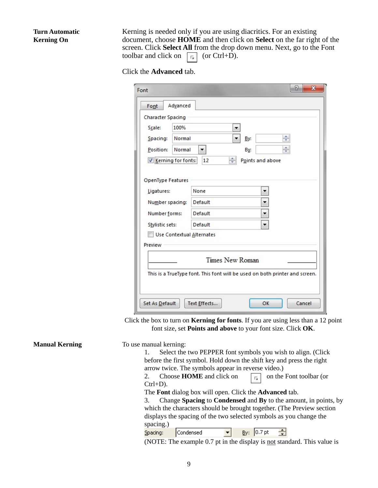#### **Turn Automatic Kerning On**

Kerning is needed only if you are using diacritics. For an existing document, choose **HOME** and then click on **Select** on the far right of the screen. Click **Select All** from the drop down menu. Next, go to the Font toolbar and click on  $\boxed{\phantom{a}}$  (or Ctrl+D).

Click the **Advanced** tab.

| Font                      | 8<br>$\mathbf{x}$                                                           |
|---------------------------|-----------------------------------------------------------------------------|
| Advanced<br>Font          |                                                                             |
| <b>Character Spacing</b>  |                                                                             |
| 100%<br>Scale:            | ▼                                                                           |
| Normal<br>Spacing:        | ÷<br>By:<br>▼                                                               |
| Normal<br>Position:       | ÷<br>By:                                                                    |
| Kerning for fonts:        | ÷<br>12<br>Points and above                                                 |
| OpenType Features         |                                                                             |
| Ligatures:                | None                                                                        |
| Number spacing:           | Default                                                                     |
| Number forms:             | Default                                                                     |
| Stylistic sets:           | Default                                                                     |
| Use Contextual Alternates |                                                                             |
| Preview                   |                                                                             |
|                           | <b>Times New Roman</b>                                                      |
|                           |                                                                             |
|                           | This is a TrueType font. This font will be used on both printer and screen. |
|                           |                                                                             |
|                           | Cancel<br>Text Effects<br>OK                                                |
| Set As Default            |                                                                             |

Click the box to turn on **Kerning for fonts**. If you are using less than a 12 point font size, set **Points and above** to your font size. Click **OK**.

| <b>Manual Kerning</b> | To use manual kerning:<br>Select the two PEPPER font symbols you wish to align. (Click<br>before the first symbol. Hold down the shift key and press the right<br>arrow twice. The symbols appear in reverse video.)<br>Choose <b>HOME</b> and click on<br>on the Font toolbar (or<br>$\overline{\Gamma_{21}}$<br>$Ctrl+D$ ).      |
|-----------------------|------------------------------------------------------------------------------------------------------------------------------------------------------------------------------------------------------------------------------------------------------------------------------------------------------------------------------------|
|                       | The Font dialog box will open. Click the <b>Advanced</b> tab.<br>Change Spacing to Condensed and By to the amount, in points, by<br>3.<br>which the characters should be brought together. (The Preview section<br>displays the spacing of the two selected symbols as you change the<br>spacing.)<br>Spacing:<br>Condensed<br>By: |

(NOTE: The example 0.7 pt in the display is not standard. This value is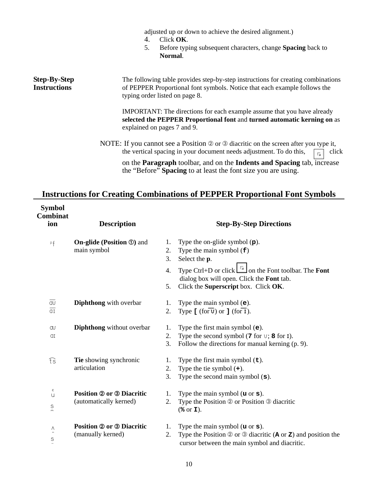adjusted up or down to achieve the desired alignment.)

- 4. Click **OK**.
- 5. Before typing subsequent characters, change **Spacing** back to **Normal**.

#### **Step-By-Step Instructions** The following table provides step-by-step instructions for creating combinations of PEPPER Proportional font symbols. Notice that each example follows the typing order listed on page 8.

IMPORTANT: The directions for each example assume that you have already **selected the PEPPER Proportional font** and **turned automatic kerning on** as explained on pages 7 and 9.

NOTE: If you cannot see a Position  $\oslash$  or  $\oslash$  diacritic on the screen after you type it, the vertical spacing in your document needs adjustment. To do this,  $\boxed{\phantom{a}}$  click

 on the **Paragraph** toolbar, and on the **Indents and Spacing** tab, increase the "Before" **Spacing** to at least the font size you are using.

### **Instructions for Creating Combinations of PEPPER Proportional Font Symbols**

**Symbol Combinat**

| Computat<br>ion                                       | <b>Description</b>                                         | <b>Step-By-Step Directions</b> |                                                                                                                                                                                                                                                          |  |  |  |
|-------------------------------------------------------|------------------------------------------------------------|--------------------------------|----------------------------------------------------------------------------------------------------------------------------------------------------------------------------------------------------------------------------------------------------------|--|--|--|
| Pf                                                    | <b>On-glide (Position ①)</b> and<br>main symbol            | 1.<br>2.<br>3.<br>4.<br>5.     | Type the on-glide symbol $(p)$ .<br>Type the main symbol $(f)$<br>Select the <b>p</b> .<br>Type Ctrl+D or click $\boxed{\Box}$ on the Font toolbar. The <b>Font</b><br>dialog box will open. Click the Font tab.<br>Click the Superscript box. Click OK. |  |  |  |
| $\overline{\mathrm{d} \mathrm{u}}$<br>$\overline{aI}$ | Diphthong with overbar                                     | 1.<br>2.                       | Type the main symbol $(e)$ .<br>Type $[(for \overline{v}) or ] (for \overline{1}).$                                                                                                                                                                      |  |  |  |
| av<br>αI                                              | Diphthong without overbar                                  | 1.<br>2.<br>3.                 | Type the first main symbol $(e)$ .<br>Type the second symbol $(7$ for $\cup$ ; 8 for I).<br>Follow the directions for manual kerning (p. 9).                                                                                                             |  |  |  |
| ts                                                    | Tie showing synchronic<br>articulation                     | 1.<br>2.<br>3.                 | Type the first main symbol $(\tau)$ .<br>Type the tie symbol $(+)$ .<br>Type the second main symbol $(s)$ .                                                                                                                                              |  |  |  |
| c<br>$\cup$<br>$\mathbb S$<br>$\blacksquare$          | <b>Position 2 or 3 Diacritic</b><br>(automatically kerned) | 1.<br>2.                       | Type the main symbol $(u \text{ or } s)$ .<br>Type the Position 2 or Position 3 diacritic<br>$(% \mathbf{r}$ or $\mathbf{I}$ ).                                                                                                                          |  |  |  |
| $\bar{\mathsf{v}}$<br>$\mathbb S$                     | <b>Position 2 or 3 Diacritic</b><br>(manually kerned)      | 1.<br>2.                       | Type the main symbol $(u \text{ or } s)$ .<br>Type the Position $\circledcirc$ or $\circledcirc$ diacritic ( <b>A</b> or <b>Z</b> ) and position the<br>cursor between the main symbol and diacritic.                                                    |  |  |  |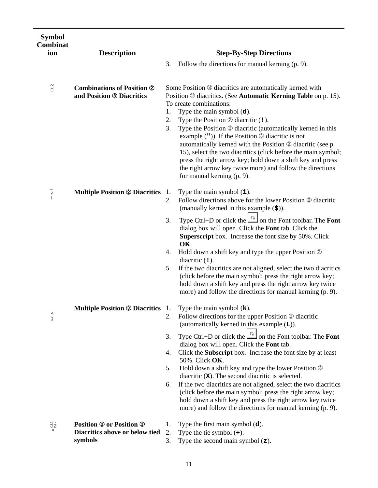| <b>Symbol</b><br><b>Combinat</b> |                                                                              |                                |                                                                                                                                                                                                                                                                                                                                                                                                                                                                                                                                                                                                                                                                       |  |  |
|----------------------------------|------------------------------------------------------------------------------|--------------------------------|-----------------------------------------------------------------------------------------------------------------------------------------------------------------------------------------------------------------------------------------------------------------------------------------------------------------------------------------------------------------------------------------------------------------------------------------------------------------------------------------------------------------------------------------------------------------------------------------------------------------------------------------------------------------------|--|--|
| ion                              | <b>Description</b>                                                           | <b>Step-By-Step Directions</b> |                                                                                                                                                                                                                                                                                                                                                                                                                                                                                                                                                                                                                                                                       |  |  |
|                                  |                                                                              | 3.                             | Follow the directions for manual kerning (p. 9).                                                                                                                                                                                                                                                                                                                                                                                                                                                                                                                                                                                                                      |  |  |
| $\widetilde{\mathsf{d}}$         | <b>Combinations of Position 2</b><br>and Position <sup>®</sup> Diacritics    | 1.<br>2.<br>3.                 | Some Position <b>3</b> diacritics are automatically kerned with<br>Position 2 diacritics. (See Automatic Kerning Table on p. 15).<br>To create combinations:<br>Type the main symbol $(d)$ .<br>Type the Position $\oslash$ diacritic (1).<br>Type the Position 3 diacritic (automatically kerned in this<br>example $($ ")). If the Position $\circledcirc$ diacritic is not<br>automatically kerned with the Position 2 diacritic (see p.<br>15), select the two diacritics (click before the main symbol;<br>press the right arrow key; hold down a shift key and press<br>the right arrow key twice more) and follow the directions<br>for manual kerning (p. 9). |  |  |
| $\widetilde{\cdot}$ .            | <b>Multiple Position @ Diacritics</b>                                        | 1.<br>2.                       | Type the main symbol $(i)$ .<br>Follow directions above for the lower Position 2 diacritic<br>(manually kerned in this example $(\$)$ ).                                                                                                                                                                                                                                                                                                                                                                                                                                                                                                                              |  |  |
|                                  |                                                                              | 3.<br>4.<br>5.                 | Type Ctrl+D or click the $\Box$ on the Font toolbar. The Font<br>dialog box will open. Click the Font tab. Click the<br>Superscript box. Increase the font size by 50%. Click<br>OK.<br>Hold down a shift key and type the upper Position 2<br>diacritic $(1)$ .<br>If the two diacritics are not aligned, select the two diacritics<br>(click before the main symbol; press the right arrow key;<br>hold down a shift key and press the right arrow key twice<br>more) and follow the directions for manual kerning (p. 9).                                                                                                                                          |  |  |
| k<br>x                           | <b>Multiple Position ® Diacritics</b> 1.                                     | 2.                             | Type the main symbol $(k)$ .<br>Follow directions for the upper Position 3 diacritic<br>(automatically kerned in this example $(L)$ ).                                                                                                                                                                                                                                                                                                                                                                                                                                                                                                                                |  |  |
|                                  |                                                                              | 3.<br>4.<br>5.<br>6.           | Type Ctrl+D or click the $\boxed{\phantom{a}}$ on the Font toolbar. The Font<br>dialog box will open. Click the Font tab.<br>Click the Subscript box. Increase the font size by at least<br>50%. Click OK.<br>Hold down a shift key and type the lower Position <b>3</b><br>diacritic $(X)$ . The second diacritic is selected.<br>If the two diacritics are not aligned, select the two diacritics<br>(click before the main symbol; press the right arrow key;<br>hold down a shift key and press the right arrow key twice<br>more) and follow the directions for manual kerning (p. 9).                                                                           |  |  |
| Œ                                | <b>Position 2 or Position 3</b><br>Diacritics above or below tied<br>symbols | 1.<br>2.<br>3.                 | Type the first main symbol $(d)$ .<br>Type the tie symbol $(+)$ .<br>Type the second main symbol $(z)$ .                                                                                                                                                                                                                                                                                                                                                                                                                                                                                                                                                              |  |  |

11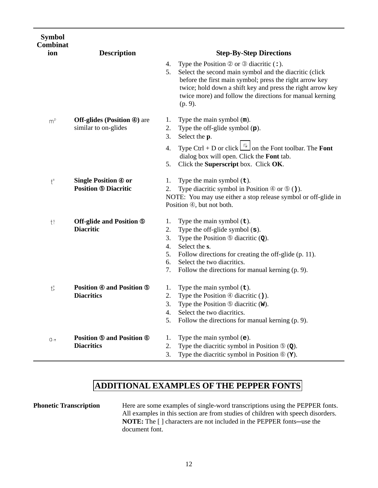| <b>Symbol</b><br><b>Combinat</b> |                                                                  |    |                                                                                                                                                                                                                                                        |
|----------------------------------|------------------------------------------------------------------|----|--------------------------------------------------------------------------------------------------------------------------------------------------------------------------------------------------------------------------------------------------------|
| ion                              | <b>Description</b>                                               |    | <b>Step-By-Step Directions</b>                                                                                                                                                                                                                         |
|                                  |                                                                  | 4. | Type the Position $\oslash$ or $\oslash$ diacritic $($ : $)$ .                                                                                                                                                                                         |
|                                  |                                                                  | 5. | Select the second main symbol and the diacritic (click<br>before the first main symbol; press the right arrow key<br>twice; hold down a shift key and press the right arrow key<br>twice more) and follow the directions for manual kerning<br>(p. 9). |
| m <sup>p</sup>                   | <b>Off-glides (Position 4)</b> are                               | 1. | Type the main symbol $(m)$ .                                                                                                                                                                                                                           |
|                                  | similar to on-glides                                             | 2. | Type the off-glide symbol $(p)$ .                                                                                                                                                                                                                      |
|                                  |                                                                  | 3. | Select the p.                                                                                                                                                                                                                                          |
|                                  |                                                                  | 4. | Type Ctrl + D or click $\boxed{\square}$ on the Font toolbar. The Font<br>dialog box will open. Click the Font tab.                                                                                                                                    |
|                                  |                                                                  | 5. | Click the Superscript box. Click OK.                                                                                                                                                                                                                   |
| $\mathfrak{t}^{\texttt{=}}$      | <b>Single Position 4 or</b>                                      | 1. | Type the main symbol $(\textbf{t})$ .                                                                                                                                                                                                                  |
|                                  | <b>Position ® Diacritic</b>                                      | 2. | Type diacritic symbol in Position $\circled{0}$ or $\circled{0}$ ()).                                                                                                                                                                                  |
|                                  |                                                                  |    | NOTE: You may use either a stop release symbol or off-glide in<br>Position 4, but not both.                                                                                                                                                            |
| $t^s$                            | <b>Off-glide and Position 5</b>                                  | 1. | Type the main symbol $(\pm)$ .                                                                                                                                                                                                                         |
|                                  | <b>Diacritic</b>                                                 | 2. | Type the off-glide symbol $(s)$ .                                                                                                                                                                                                                      |
|                                  |                                                                  | 3. | Type the Position $\circledcirc$ diacritic ( $\circledcirc$ ).                                                                                                                                                                                         |
|                                  |                                                                  | 4. | Select the s.                                                                                                                                                                                                                                          |
|                                  |                                                                  | 5. | Follow directions for creating the off-glide (p. 11).                                                                                                                                                                                                  |
|                                  |                                                                  | 6. | Select the two diacritics.                                                                                                                                                                                                                             |
|                                  |                                                                  | 7. | Follow the directions for manual kerning (p. 9).                                                                                                                                                                                                       |
| $t\bar{z}$                       | <b>Position <math>\Phi</math> and Position <math>\Phi</math></b> | 1. | Type the main symbol $(\textbf{t})$ .                                                                                                                                                                                                                  |
|                                  | <b>Diacritics</b>                                                | 2. | Type the Position $\Phi$ diacritic ().                                                                                                                                                                                                                 |
|                                  |                                                                  | 3. | Type the Position $\circledcirc$ diacritic (W).                                                                                                                                                                                                        |
|                                  |                                                                  | 4. | Select the two diacritics.                                                                                                                                                                                                                             |
|                                  |                                                                  | 5. | Follow the directions for manual kerning (p. 9).                                                                                                                                                                                                       |
| $Q: \uparrow$                    | <b>Position ® and Position ®</b>                                 | 1. | Type the main symbol $(e)$ .                                                                                                                                                                                                                           |
|                                  | <b>Diacritics</b>                                                | 2. | Type the diacritic symbol in Position $\mathcal{D}(\mathbf{Q})$ .                                                                                                                                                                                      |
|                                  |                                                                  | 3. | Type the diacritic symbol in Position $\circledcirc$ ( <b>Y</b> ).                                                                                                                                                                                     |

### **ADDITIONAL EXAMPLES OF THE PEPPER FONTS**

**Phonetic Transcription** Here are some examples of single-word transcriptions using the PEPPER fonts. All examples in this section are from studies of children with speech disorders. **NOTE:** The [] characters are not included in the PEPPER fonts-use the document font.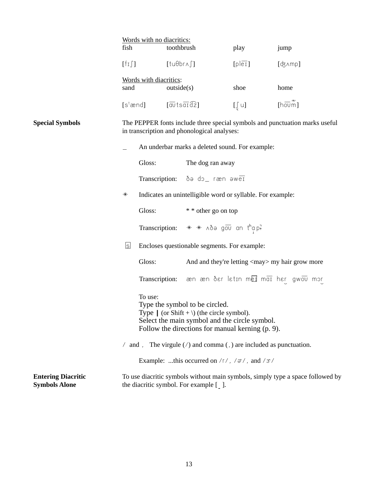|                                                   |                    | Words with no diacritics:                                                                                               |                                                                            |                                                                                                                                                                                        |                                                 |                                      |  |  |
|---------------------------------------------------|--------------------|-------------------------------------------------------------------------------------------------------------------------|----------------------------------------------------------------------------|----------------------------------------------------------------------------------------------------------------------------------------------------------------------------------------|-------------------------------------------------|--------------------------------------|--|--|
|                                                   | fish               | toothbrush<br>$[$ tu $\theta$ br $\wedge$ $\int$ ]                                                                      |                                                                            |                                                                                                                                                                                        | play                                            | jump                                 |  |  |
|                                                   | $[f_1]$            |                                                                                                                         |                                                                            |                                                                                                                                                                                        | [p e1]                                          | [ʤʌmp]                               |  |  |
|                                                   |                    | Words with diacritics:                                                                                                  |                                                                            |                                                                                                                                                                                        |                                                 |                                      |  |  |
|                                                   | sand               | outside(s)                                                                                                              |                                                                            |                                                                                                                                                                                        | shoe                                            | home                                 |  |  |
|                                                   | [s $^{\rm t}$ ænd] |                                                                                                                         | $[\overline{\text{av}}$ ts $\overline{\text{ar}}$ d $\overline{\text{2}}]$ |                                                                                                                                                                                        | $[\int U]$                                      | [hovm̃]                              |  |  |
| <b>Special Symbols</b>                            |                    |                                                                                                                         |                                                                            | The PEPPER fonts include three special symbols and punctuation marks useful<br>in transcription and phonological analyses:                                                             |                                                 |                                      |  |  |
|                                                   |                    |                                                                                                                         |                                                                            |                                                                                                                                                                                        | An underbar marks a deleted sound. For example: |                                      |  |  |
|                                                   |                    | Gloss:                                                                                                                  |                                                                            | The dog ran away                                                                                                                                                                       |                                                 |                                      |  |  |
|                                                   |                    |                                                                                                                         |                                                                            | Transcription: ðə do_ ræn əweī                                                                                                                                                         |                                                 |                                      |  |  |
|                                                   | $\ast$             |                                                                                                                         |                                                                            | Indicates an unintelligible word or syllable. For example:                                                                                                                             |                                                 |                                      |  |  |
|                                                   |                    | Gloss:                                                                                                                  |                                                                            | * * other go on top                                                                                                                                                                    |                                                 |                                      |  |  |
|                                                   |                    |                                                                                                                         |                                                                            | Transcription: $* * \wedge \delta$ and $\overline{00}$ and $\overline{1}^h$ a $p^2$                                                                                                    |                                                 |                                      |  |  |
|                                                   | <u>s</u>           |                                                                                                                         |                                                                            | Encloses questionable segments. For example:                                                                                                                                           |                                                 |                                      |  |  |
|                                                   |                    | Gloss:                                                                                                                  |                                                                            | And and they're letting <may> my hair grow more</may>                                                                                                                                  |                                                 |                                      |  |  |
|                                                   |                    | Transcription:                                                                                                          |                                                                            |                                                                                                                                                                                        |                                                 | æn æn ðer letin mei mai her gwou mor |  |  |
|                                                   | To use:            |                                                                                                                         |                                                                            | Type the symbol to be circled.<br>Type $\mid$ (or Shift + \) (the circle symbol).<br>Select the main symbol and the circle symbol.<br>Follow the directions for manual kerning (p. 9). |                                                 |                                      |  |  |
|                                                   |                    |                                                                                                                         |                                                                            | $\ell$ and , The virgule $\ell$ and comma (, ) are included as punctuation.                                                                                                            |                                                 |                                      |  |  |
|                                                   |                    |                                                                                                                         |                                                                            | Example: this occurred on $/r /$ , $/\pi/$ , and $/\pi/$                                                                                                                               |                                                 |                                      |  |  |
| <b>Entering Diacritic</b><br><b>Symbols Alone</b> |                    | To use diacritic symbols without main symbols, simply type a space followed by<br>the diacritic symbol. For example []. |                                                                            |                                                                                                                                                                                        |                                                 |                                      |  |  |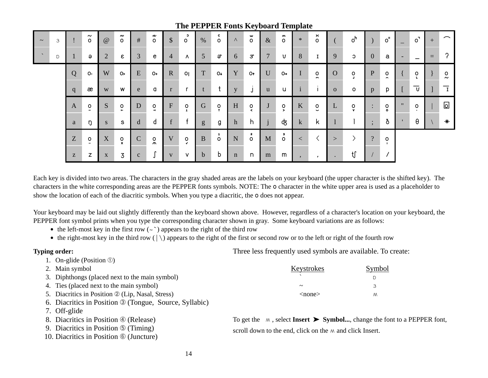|        |   |   |                                     |                |                     |              |                            |                | $  -$        |             |                         | ⊶⊷           |                                     | $\mathbf{r}$   |                          | $\sim$ $\sim$ $\sim$ $\sim$ |                              |           |                              |                      |                                                        |                   |                      |     |                         |
|--------|---|---|-------------------------------------|----------------|---------------------|--------------|----------------------------|----------------|--------------|-------------|-------------------------|--------------|-------------------------------------|----------------|--------------------------|-----------------------------|------------------------------|-----------|------------------------------|----------------------|--------------------------------------------------------|-------------------|----------------------|-----|-------------------------|
| $\sim$ | 3 |   | $\sim$<br>$\circ$                   | $\omega$       | ົ<br>$\circ$        | #            | n<br>$\circ$               | $\mathcal{S}$  | ၁<br>$\circ$ | %           | c<br>$\circ$            | $\Lambda$    | w<br>$\circ$                        | $\&$           | m<br>$\circ$             | $\ast$                      | ×<br>$\circ$                 |           | O <sup>h</sup>               |                      | $\circ$ <sup><math>\overline{\phantom{a}}</math></sup> |                   | $\circ$              | $+$ | $\widehat{\phantom{m}}$ |
| $\sim$ | D |   | Э                                   | $\overline{2}$ | ε                   | 3            | e                          | $\overline{4}$ | ۸            | 5           | ą                       | 6            | $\mathcal{F}$                       | $\overline{7}$ | U                        | 8                           | I                            | 9         | C                            | $\overline{0}$       | а                                                      | ٠                 |                      | $=$ | 2                       |
|        |   | Q | 0:                                  | W              | $\circ$             | ${\bf E}$    | $O+$                       | $\mathbf{R}$   | 0            | T           | $O+$                    | Y            | O <sub>f</sub>                      | U              | $O +$                    | $\mathbf I$                 | $\circ$<br>n.                | $\Omega$  | $\circ$                      | P                    | $\circ$<br>$\sim$                                      |                   | $\circ$              |     | o<br>$\sim$             |
|        |   | q | æ                                   | W              | W                   | e            | a                          | $\mathbf{r}$   |              |             |                         | $\mathbf{V}$ | J                                   | u              | u                        |                             | $\bullet$                    | $\Omega$  | $\circ$                      | p                    | p                                                      |                   | U                    |     | $\mathbf I$             |
|        |   | A | $\circ$<br>$\overline{\phantom{0}}$ | S              | O<br>$\blacksquare$ | $\mathbf D$  | $\circ$<br>$\rightarrow$   | F              | O            | G           | $\circ$<br>$\mathbf{r}$ | H            | $\mathsf{o}$<br>$\hat{\phantom{a}}$ |                | $\circ$<br>$\rightarrow$ | K                           | $\mathsf{o}$<br>$\checkmark$ | L         | $\mathsf{o}$<br>$\mathbf{v}$ | $\bullet$<br>$\cdot$ | $\mathsf{o}$<br>$\circ$                                | $^{\prime\prime}$ | $\circ$<br>$\bullet$ |     | اها                     |
|        |   | a | ŋ                                   | S              | s                   | $\mathbf d$  | d                          | $\mathbf{f}$   |              | g           | g                       | h            | h                                   |                | क्                       | $\mathbf{k}$                | k                            |           |                              | $\bullet$            | ð                                                      |                   | θ                    |     | $\ast$                  |
|        |   | Z | $\mathsf{o}$<br>$\bullet\bullet$    | X              | $\frac{0}{x}$       | $\mathbf C$  | $\mathsf{o}$<br>$\sqrt{N}$ | $\mathbf{V}$   | O            | B           | 1<br>$\circ$            | ${\bf N}$    | $\int_{0}^{2}$                      | $\mathbf{M}$   | 3<br>$\circ$             | $\lt$                       |                              | >         |                              | $\overline{?}$       | $\mathsf{o}$                                           |                   |                      |     |                         |
|        |   | Z | Z                                   | $\mathbf{X}$   | 3                   | $\mathbf{C}$ |                            | $\mathbf{V}$   | $\vee$       | $\mathbf b$ | b                       | $\mathbf n$  | $\mathsf{n}$                        | m              | m                        | $\cdot$                     | $\cdot$                      | $\bullet$ | −t∫                          |                      |                                                        |                   |                      |     |                         |

### **The PEPPER Fonts Keyboard Template**

Each key is divided into two areas. The characters in the gray shaded areas are the labels on your keyboard (the upper character is the shifted key). The characters in the white corresponding areas are the PEPPER fonts symbols. NOTE: The **o** character in the white upper area is used as a placeholder to show the location of each of the diacritic symbols. When you type a diacritic, the **o** does not appear.

Your keyboard may be laid out slightly differently than the keyboard shown above. However, regardless of a character's location on your keyboard, the PEPPER font symbol prints when you type the corresponding character shown in gray. Some keyboard variations are as follows:

- the left-most key in the first row  $(\sim)$  appears to the right of the third row
- $\bullet$  the right-most key in the third row ( $|\rangle$ ) appears to the right of the first or second row or to the left or right of the fourth row

#### **Typing order:**

- 1. On-glide (Position ①)
- 2. Main symbol
- 3. Diphthongs (placed next to the main symbol)
- 4. Ties (placed next to the main symbol)
- 5. Diacritics in Position  $\mathcal{D}$  (Lip, Nasal, Stress)
- 6. Diacritics in Position ä (Tongue, Source, Syllabic)
- 7. Off-glide
- 8. Diacritics in Position  $\circledA$  (Release)
- 9. Diacritics in Position  $\circled{$  (Timing)
- 10. Diacritics in Position  $\circled{0}$  (Juncture)

Three less frequently used symbols are available. To create:

| Keystrokes   | Symbol |
|--------------|--------|
|              |        |
|              | ∍      |
| $<$ none $>$ | ΛΛ     |

To get the  $\land$ , select **Insert**  $\blacktriangleright$  **Symbol...**, change the font to a PEPPER font, scroll down to the end, click on the  $M$  and click Insert.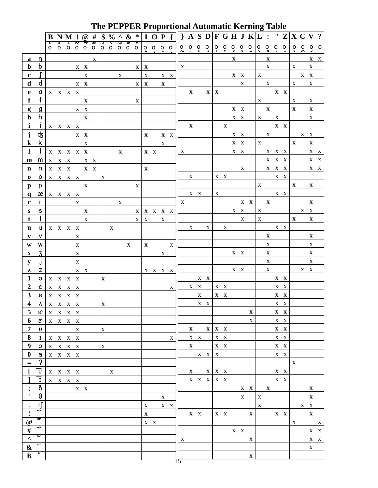|                                          |                         | B                                                                                                |         | $N$ M $!$                                           |                           |                         |                         |              |                         |                         |             |              |              |                                                       | $\mathbf{r}$              |             | $\boxed{ \odot \# \{ \$ \% \land \& \* \mid I \; O \; P \} }$ A S D F G H J K L : " Z X C V ? |              |                         |                     |              |                         |              |                         |                         | $\mathbf{\ddot{o}}$ |                  |              |                         |              |                         |                            |                                                                           |
|------------------------------------------|-------------------------|--------------------------------------------------------------------------------------------------|---------|-----------------------------------------------------|---------------------------|-------------------------|-------------------------|--------------|-------------------------|-------------------------|-------------|--------------|--------------|-------------------------------------------------------|---------------------------|-------------|-----------------------------------------------------------------------------------------------|--------------|-------------------------|---------------------|--------------|-------------------------|--------------|-------------------------|-------------------------|---------------------|------------------|--------------|-------------------------|--------------|-------------------------|----------------------------|---------------------------------------------------------------------------|
|                                          |                         | $\circ$                                                                                          | $\circ$ | $\circ$                                             | $\tilde{\phantom{a}}$     | ş<br>$0$ 0 0            | $\overline{v}$          | э            | $\overline{\mathbf{c}}$ | $\overline{\mathsf{e}}$ | 3           | x            |              |                                                       |                           | 00000000000 |                                                                                               |              |                         |                     |              |                         |              |                         |                         |                     |                  |              |                         |              |                         |                            | $\begin{array}{ccccccccc}\n0 & 0 & 0 & 0 \\ x & 0 & 0 & 0 \\ \end{array}$ |
| a                                        | n                       |                                                                                                  |         |                                                     |                           |                         | $\mathbf X$             |              |                         |                         |             |              |              |                                                       |                           |             |                                                                                               |              |                         |                     |              |                         |              | X                       |                         |                     | $\mathbf{X}$     |              |                         |              |                         |                            | $X \times X$                                                              |
| $\mathbf b$                              | b                       |                                                                                                  |         |                                                     |                           | $\mathbf{X}-\mathbf{X}$ |                         |              |                         |                         |             | X            | $\mathbf X$  |                                                       |                           |             | $\mathbf{X}$                                                                                  |              |                         |                     |              |                         |              |                         |                         |                     | $\mathbf X$      |              |                         | $\mathbf{X}$ |                         | $\mathbf X$                |                                                                           |
| $\mathbf c$                              |                         |                                                                                                  |         |                                                     |                           | X                       |                         |              |                         |                         | $\mathbf X$ |              |              | $\mathbf{X} \qquad \quad \mathbf{X} \quad \mathbf{X}$ |                           |             |                                                                                               |              |                         |                     |              |                         |              | $\mathbf{X}-\mathbf{X}$ |                         | $\mathbf{X}$        |                  |              |                         |              | $\mathbf{X}-\mathbf{X}$ |                            |                                                                           |
| $\mathbf d$                              | d                       |                                                                                                  |         |                                                     |                           | $X$ $X$                 |                         |              |                         |                         |             | $\mathbf{X}$ | $\mathbf{X}$ |                                                       | $\mathbf X$               |             |                                                                                               |              |                         |                     |              |                         |              | $\mathbf{X}$            |                         |                     |                  | $\mathbf X$  |                         | $\mathbf{X}$ |                         | $\mathbf X$                |                                                                           |
| $\mathbf e$                              | a                       |                                                                                                  |         | $X \times X$                                        | $\mathbf{X}$              |                         |                         |              |                         |                         |             |              |              |                                                       |                           |             |                                                                                               | $\mathbf X$  |                         | $\mathbf X$         | $\mathbf{X}$ |                         |              |                         |                         |                     |                  |              | $X \tX$                 |              |                         |                            |                                                                           |
| $\mathbf f$                              | f                       |                                                                                                  |         |                                                     |                           | $\mathbf X$             |                         |              |                         |                         |             | $\mathbf X$  |              |                                                       |                           |             |                                                                                               |              |                         |                     |              |                         |              |                         |                         | $\mathbf{X}$        |                  |              |                         | $\mathbf X$  |                         | $\mathbf X$                |                                                                           |
| g                                        | g                       |                                                                                                  |         |                                                     |                           | $\mathbf{X}-\mathbf{X}$ |                         |              |                         |                         |             |              |              |                                                       |                           |             |                                                                                               |              |                         |                     |              |                         |              | $X$ $X$                 |                         |                     |                  | $\mathbf{X}$ |                         | $\mathbf X$  |                         | $\mathbf X$                |                                                                           |
| $\mathbf h$                              | h                       |                                                                                                  |         |                                                     |                           | $\mathbf X$             |                         |              |                         |                         |             |              |              |                                                       |                           |             |                                                                                               |              |                         |                     |              |                         |              | $X$ $X$                 |                         |                     |                  | $X$ $X$      |                         |              |                         | $\mathbf X$                |                                                                           |
| i                                        | $\mathbf{I}$            |                                                                                                  |         | $X$ $X$ $X$                                         | $\mathbf{X}$              |                         |                         |              |                         |                         |             |              |              |                                                       |                           |             |                                                                                               | X            |                         |                     |              |                         |              | $\mathbf X$             |                         |                     |                  |              | $X$ $X$                 |              |                         |                            |                                                                           |
|                                          | क्ट                     |                                                                                                  |         |                                                     |                           | $\mathbf{X}-\mathbf{X}$ |                         |              |                         |                         |             |              | $\mathbf{X}$ |                                                       |                           | X X         |                                                                                               |              |                         |                     |              |                         |              | $X \tX$                 |                         |                     | $\mathbf{X}$     |              |                         |              |                         | $\mathbf{X}-\mathbf{X}$    |                                                                           |
| $\bf k$                                  | k                       |                                                                                                  |         |                                                     |                           | $\mathbf X$             |                         |              |                         |                         |             |              |              |                                                       | $\boldsymbol{\mathrm{X}}$ |             |                                                                                               |              |                         |                     |              |                         |              | $\mathbf{X}-\mathbf{X}$ |                         |                     |                  | $\mathbf X$  |                         | $\mathbf{X}$ |                         | $\mathbf X$                |                                                                           |
| 1                                        |                         |                                                                                                  |         | X X X X X                                           |                           |                         |                         |              |                         | $\mathbf{X}$            |             |              |              | $X$ $X$                                               |                           |             | X                                                                                             |              |                         |                     |              |                         |              | $\mathbf{X}-\mathbf{X}$ |                         |                     |                  |              | $X$ $X$ $X$             |              |                         |                            | $\mathbf{X}-\mathbf{X}$                                                   |
| m                                        | m                       | X                                                                                                | $X$ X   |                                                     |                           |                         | X X                     |              |                         |                         |             |              |              |                                                       |                           |             |                                                                                               |              |                         |                     |              |                         |              |                         |                         |                     |                  |              | $X$ $X$ $X$             |              |                         |                            | $X$ $X$                                                                   |
| n                                        | n                       |                                                                                                  |         | $\mathbf{X} = \mathbf{X} - \mathbf{X}$              |                           |                         | $\mathbf{X}-\mathbf{X}$ |              |                         |                         |             |              | $\mathbf X$  |                                                       |                           |             |                                                                                               |              |                         |                     |              |                         |              | $\mathbf{X}$            |                         |                     |                  |              | X X X                   |              |                         |                            | $X$ $X$                                                                   |
| 0                                        | $\mathsf{o}$            |                                                                                                  |         | $X$ $X$ $X$ $X$                                     |                           |                         |                         | X            |                         |                         |             |              |              |                                                       |                           |             |                                                                                               | $\mathbf{X}$ |                         |                     |              | $X \times X$            |              |                         |                         |                     |                  |              | $X$ $X$                 |              |                         |                            |                                                                           |
| р                                        | p                       |                                                                                                  |         |                                                     |                           | $\mathbf X$             |                         |              |                         |                         |             | $\mathbf X$  |              |                                                       |                           |             |                                                                                               |              |                         |                     |              |                         |              |                         |                         |                     |                  | $\mathbf X$  |                         | $\mathbf X$  |                         | $\mathbf{X}$               |                                                                           |
| $\mathbf q$                              | æ                       |                                                                                                  |         | X X X X                                             |                           |                         |                         |              |                         |                         |             |              |              |                                                       |                           |             |                                                                                               |              | $\mathbf{X}-\mathbf{X}$ |                     | $\mathbf X$  |                         |              |                         |                         |                     |                  |              | $\mathbf{X}-\mathbf{X}$ |              |                         |                            |                                                                           |
| r                                        | $\mathsf{r}$            |                                                                                                  |         |                                                     | $\mathbf{X}$              |                         |                         |              |                         | $\mathbf X$             |             |              |              |                                                       |                           |             | $\mathbf{X}$                                                                                  |              |                         |                     |              |                         |              |                         | $\mathbf{X}-\mathbf{X}$ |                     | $\mathbf X$      |              |                         |              |                         | $\mathbf X$                |                                                                           |
| ${\bf S}$                                | $\mathbb S$             |                                                                                                  |         |                                                     |                           | $\mathbf X$             |                         |              |                         |                         |             | X            |              | $\mathbf{X} = \mathbf{X} - \mathbf{X} = \mathbf{X}$   |                           |             |                                                                                               |              |                         |                     |              |                         |              | $\mathbf{X}-\mathbf{X}$ |                         | $\mathbf X$         |                  |              |                         |              |                         | $\mathbf{X}-\mathbf{X}$    |                                                                           |
| t                                        | $\mathsf{t}$            |                                                                                                  |         |                                                     |                           | $\mathbf X$             |                         |              |                         |                         |             | $\mathbf X$  | $\mathbf{X}$ |                                                       | X                         |             |                                                                                               |              |                         |                     |              |                         |              | $\mathbf X$             |                         | $\mathbf X$         |                  |              |                         | $\mathbf X$  |                         | $\mathbf X$                |                                                                           |
| $\mathbf u$                              | u                       |                                                                                                  |         | $X \times X$                                        | X                         |                         |                         |              | X                       |                         |             |              |              |                                                       |                           |             |                                                                                               | $\mathbf{X}$ |                         | $\mathbf{X}$        |              |                         | $\mathbf{X}$ |                         |                         |                     |                  |              | $X$ $X$                 |              |                         |                            |                                                                           |
| V                                        | v                       |                                                                                                  |         |                                                     | $\mathbf X$               |                         |                         |              |                         |                         |             |              |              |                                                       |                           |             |                                                                                               |              |                         |                     |              |                         |              |                         |                         |                     | $\mathbf X$      |              |                         |              |                         | $\mathbf X$<br>$\mathbf X$ |                                                                           |
| $\mathbf{W}$                             | W                       |                                                                                                  |         |                                                     | $\mathbf X$               |                         |                         |              |                         |                         | X           |              |              | $\mathbf X$                                           |                           | X           |                                                                                               |              |                         |                     |              |                         |              |                         |                         |                     | $\mathbf X$      |              |                         |              |                         | $\mathbf X$                |                                                                           |
| $\mathbf X$                              | 3                       |                                                                                                  |         |                                                     | X<br>$\mathbf X$          |                         |                         |              |                         |                         |             |              |              |                                                       | X                         |             |                                                                                               |              |                         |                     |              |                         |              | X X                     |                         |                     | X<br>$\mathbf X$ |              |                         |              |                         | $\mathbf X$                |                                                                           |
| y<br>${\bf z}$                           | z                       |                                                                                                  |         |                                                     |                           | $\mathbf{X}-\mathbf{X}$ |                         |              |                         |                         |             |              |              |                                                       |                           |             |                                                                                               |              |                         |                     |              |                         |              | $\mathbf{X}-\mathbf{X}$ |                         |                     | $\mathbf{X}$     |              |                         |              |                         | $\mathbf{X}-\mathbf{X}$    |                                                                           |
| 1                                        | $\Theta$                |                                                                                                  |         | $X \times X \times X$                               |                           |                         |                         | $\mathbf X$  |                         |                         |             |              |              | $\mathbf{X} = \mathbf{X} - \mathbf{X} = \mathbf{X}$   |                           |             |                                                                                               |              |                         | $X$ $X$             |              |                         |              |                         |                         |                     |                  |              | X X                     |              |                         |                            |                                                                           |
| $\boldsymbol{2}$                         | $\varepsilon$           |                                                                                                  |         | $X$ $X$ $X$ $X$                                     |                           |                         |                         |              |                         |                         |             |              |              |                                                       |                           | $\mathbf X$ |                                                                                               |              | $\mathbf{X}-\mathbf{X}$ |                     |              | $X - X$                 |              |                         |                         |                     |                  |              | $X \tX$                 |              |                         |                            |                                                                           |
| $\mathbf{3}$                             | e                       |                                                                                                  |         | $X$ $X$ $X$                                         | $\boldsymbol{\mathrm{X}}$ |                         |                         |              |                         |                         |             |              |              |                                                       |                           |             |                                                                                               |              | $\mathbf X$             |                     |              | $\mathbf{X}-\mathbf{X}$ |              |                         |                         |                     |                  |              | $\mathbf{X}-\mathbf{X}$ |              |                         |                            |                                                                           |
| $\overline{\mathbf{4}}$                  |                         | $\begin{array}{c cc} \mathbf{A} & \mathbf{X} & \mathbf{X} & \mathbf{X} & \mathbf{X} \end{array}$ |         |                                                     |                           |                         |                         | $\mathbf{X}$ |                         |                         |             |              |              |                                                       |                           |             |                                                                                               |              |                         | $X - X$             |              |                         |              |                         |                         |                     |                  |              | $X - X$                 |              |                         |                            |                                                                           |
| 5                                        | $\vartheta$             |                                                                                                  |         | $X$ $X$ $X$ $X$                                     |                           |                         |                         |              |                         |                         |             |              |              |                                                       |                           |             |                                                                                               |              |                         |                     |              |                         |              |                         | X                       |                     |                  |              | $X$ $X$                 |              |                         |                            |                                                                           |
| 6                                        | $\mathfrak{S}$          |                                                                                                  |         | $\mathbf{X} = \mathbf{X} - \mathbf{X} = \mathbf{X}$ |                           |                         |                         |              |                         |                         |             |              |              |                                                       |                           |             |                                                                                               |              |                         |                     |              |                         |              |                         | $\mathbf X$             |                     |                  |              | $X$ $X$                 |              |                         |                            |                                                                           |
| $\overline{7}$                           | $\mathsf{U}^-$          |                                                                                                  |         |                                                     | $\mathbf X$               |                         |                         | X            |                         |                         |             |              |              |                                                       |                           |             |                                                                                               |              | $\mathbf{X}$            |                     |              | $X$ $X$ $X$             |              |                         |                         |                     |                  |              | $X$ $X$                 |              |                         |                            |                                                                           |
| 8                                        | $\mathbf{I}$            |                                                                                                  |         | $X$ $X$ $X$ $X$                                     |                           |                         |                         |              |                         |                         |             |              |              |                                                       |                           | X           |                                                                                               |              | $X$ $X$                 |                     |              | $X \tX$                 |              |                         |                         |                     |                  |              | $X \tX$                 |              |                         |                            |                                                                           |
| $\boldsymbol{9}$                         | $\mathbb C$             |                                                                                                  |         | $X$ $X$ $X$ $X$                                     |                           |                         |                         | X            |                         |                         |             |              |              |                                                       |                           |             |                                                                                               | $\mathbf{X}$ |                         |                     |              | $\mathbf{X}-\mathbf{X}$ |              |                         |                         |                     |                  |              | $X \tX$                 |              |                         |                            |                                                                           |
| $\boldsymbol{0}$                         | a                       |                                                                                                  |         | $X$ $X$ $X$ $X$                                     |                           |                         |                         |              |                         |                         |             |              |              |                                                       |                           |             |                                                                                               |              |                         | $X \times X$        |              |                         |              |                         |                         |                     |                  |              | $X$ $X$                 |              |                         |                            |                                                                           |
| $\!=$                                    | $\gamma$                |                                                                                                  |         |                                                     |                           |                         |                         |              |                         |                         |             |              |              |                                                       |                           |             |                                                                                               |              |                         |                     |              |                         |              |                         |                         |                     |                  |              |                         | $\mathbf X$  |                         |                            |                                                                           |
|                                          | $\overline{\mathtt{v}}$ |                                                                                                  |         | $X$ $X$ $X$ $X$                                     |                           |                         |                         |              | X                       |                         |             |              |              |                                                       |                           |             |                                                                                               |              | $\mathbf{X}$            |                     |              | $X$ $X$ $X$             |              |                         |                         |                     |                  |              | $X \tX$                 |              |                         |                            |                                                                           |
|                                          | ī                       |                                                                                                  |         | $X$ $X$ $X$ $X$                                     |                           |                         |                         |              |                         |                         |             |              |              |                                                       |                           |             |                                                                                               |              |                         | $X$ $X$ $X$ $X$ $X$ |              |                         |              |                         |                         |                     |                  |              | $X$ $X$                 |              |                         |                            |                                                                           |
| $\ddot{\cdot}$                           | ð                       |                                                                                                  |         |                                                     |                           | $X \times$              |                         |              |                         |                         |             |              |              |                                                       |                           |             |                                                                                               |              |                         |                     |              |                         |              |                         | $X$ $X$                 |                     | $\mathbf{X}$     |              |                         |              |                         | $\mathbf X$                |                                                                           |
| $\pmb{\cdot}$                            | $\Theta$                |                                                                                                  |         |                                                     |                           |                         |                         |              |                         |                         |             |              |              |                                                       | X                         |             |                                                                                               |              |                         |                     |              |                         |              | $\mathbf{X}$            |                         | $\mathbf X$         |                  |              |                         |              |                         | $\mathbf X$                |                                                                           |
| $\bullet$                                | tf<br>2                 |                                                                                                  |         |                                                     |                           |                         |                         |              |                         |                         |             |              |              | $X$ $X$ $X$                                           |                           |             |                                                                                               |              |                         |                     |              |                         |              |                         |                         | $\mathbf{X}$        |                  |              |                         |              |                         | $X - X$                    |                                                                           |
| $\pmb{!}$                                | है                      |                                                                                                  |         |                                                     |                           |                         |                         |              |                         |                         |             |              | $\mathbf{X}$ |                                                       |                           |             |                                                                                               |              | $X$ $X$                 |                     |              | $X$ $X$                 |              |                         | $\mathbf{X}$            |                     |                  |              | $X \tX$                 |              |                         | $\mathbf X$                |                                                                           |
| @                                        | ş                       |                                                                                                  |         |                                                     |                           |                         |                         |              |                         |                         |             |              |              | $X$ $X$                                               |                           |             |                                                                                               |              |                         |                     |              |                         |              |                         |                         |                     |                  |              |                         | $\mathbf X$  |                         |                            | $\mathbf{X}$                                                              |
| $\frac{1}{2}$<br>$\overline{\mathbf{v}}$ | $\epsilon$              |                                                                                                  |         |                                                     |                           |                         |                         |              |                         |                         |             |              |              |                                                       |                           |             |                                                                                               |              |                         |                     |              |                         |              | $X - X$                 |                         |                     |                  |              |                         |              |                         |                            | $X - X$                                                                   |
|                                          | Э                       |                                                                                                  |         |                                                     |                           |                         |                         |              |                         |                         |             |              |              |                                                       |                           |             | X                                                                                             |              |                         |                     |              |                         |              |                         | $\mathbf X$             |                     |                  |              |                         |              |                         |                            | $\mathbf{X}-\mathbf{X}$                                                   |
| $\pmb{\&}$                               | $\mathbf{1}$            |                                                                                                  |         |                                                     |                           |                         |                         |              |                         |                         |             |              |              |                                                       |                           |             |                                                                                               |              |                         |                     |              |                         |              |                         |                         |                     |                  |              |                         |              |                         | $\mathbf X$                |                                                                           |
| $\bf{B}$                                 |                         |                                                                                                  |         |                                                     |                           |                         |                         |              |                         |                         |             |              |              |                                                       |                           |             |                                                                                               |              |                         |                     |              |                         |              |                         | $\mathbf X$             |                     |                  |              |                         |              |                         |                            |                                                                           |

### **The PEPPER Proportional Automatic Kerning Table**

 $-\frac{1}{5}$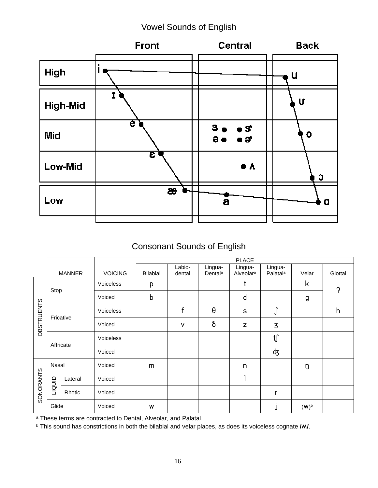### Vowel Sounds of English



### Consonant Sounds of English

|                   |           |               |                | <b>PLACE</b> |                  |                                |                                  |                                 |         |         |  |  |  |  |  |  |  |
|-------------------|-----------|---------------|----------------|--------------|------------------|--------------------------------|----------------------------------|---------------------------------|---------|---------|--|--|--|--|--|--|--|
|                   |           | <b>MANNER</b> | <b>VOICING</b> | Bilabial     | Labio-<br>dental | Lingua-<br>Dental <sup>a</sup> | Lingua-<br>Alveolar <sup>a</sup> | Lingua-<br>Palatal <sup>a</sup> | Velar   | Glottal |  |  |  |  |  |  |  |
|                   |           |               | Voiceless      | р            |                  |                                | t                                |                                 | k       | 0       |  |  |  |  |  |  |  |
|                   | Stop      |               | Voiced         | b            |                  |                                | d                                |                                 | g       |         |  |  |  |  |  |  |  |
|                   |           |               | Voiceless      |              | f                | θ                              | $\mathbb S$                      | J                               |         | h       |  |  |  |  |  |  |  |
| <b>OBSTRUENTS</b> | Fricative |               | Voiced         |              | $\vee$           | ð                              | Z                                | 3                               |         |         |  |  |  |  |  |  |  |
|                   | Affricate |               | Voiceless      |              |                  |                                |                                  | tſ                              |         |         |  |  |  |  |  |  |  |
|                   |           |               | Voiced         |              |                  |                                |                                  | क्                              |         |         |  |  |  |  |  |  |  |
|                   | Nasal     |               | Voiced         | m            |                  |                                | n                                |                                 | ŋ       |         |  |  |  |  |  |  |  |
|                   | Lateral   |               | Voiced         |              |                  |                                |                                  |                                 |         |         |  |  |  |  |  |  |  |
| SONORANTS         | LIQUID    | Rhotic        | Voiced         |              |                  |                                |                                  | r                               |         |         |  |  |  |  |  |  |  |
|                   | Glide     |               | Voiced         | W            |                  |                                |                                  | J                               | $(W)^b$ |         |  |  |  |  |  |  |  |

a These terms are contracted to Dental, Alveolar, and Palatal.

b This sound has constrictions in both the bilabial and velar places, as does its voiceless cognate **/ñ/**.